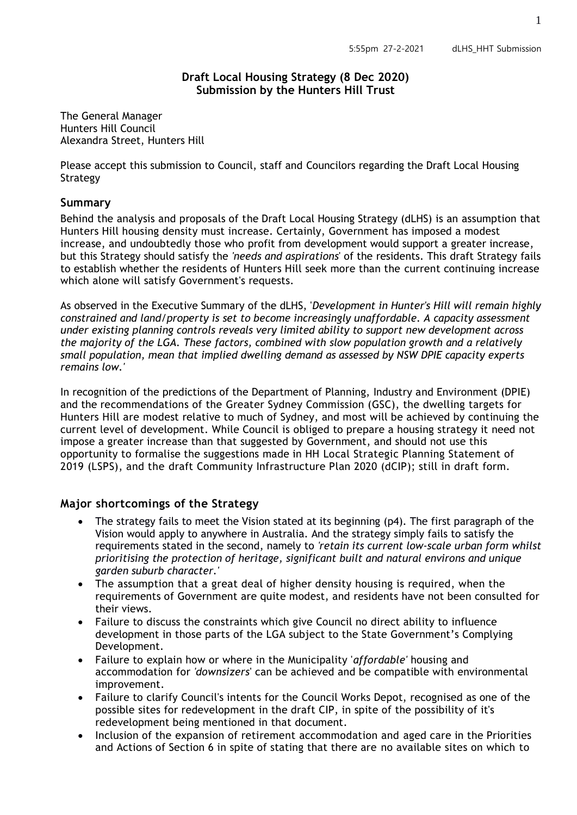### **Draft Local Housing Strategy (8 Dec 2020) Submission by the Hunters Hill Trust**

The General Manager Hunters Hill Council Alexandra Street, Hunters Hill

Please accept this submission to Council, staff and Councilors regarding the Draft Local Housing Strategy

### **Summary**

Behind the analysis and proposals of the Draft Local Housing Strategy (dLHS) is an assumption that Hunters Hill housing density must increase. Certainly, Government has imposed a modest increase, and undoubtedly those who profit from development would support a greater increase, but this Strategy should satisfy the *'needs and aspirations*' of the residents. This draft Strategy fails to establish whether the residents of Hunters Hill seek more than the current continuing increase which alone will satisfy Government's requests.

As observed in the Executive Summary of the dLHS, '*Development in Hunter's Hill will remain highly constrained and land/property is set to become increasingly unaffordable. A capacity assessment under existing planning controls reveals very limited ability to support new development across the majority of the LGA. These factors, combined with slow population growth and a relatively small population, mean that implied dwelling demand as assessed by NSW DPIE capacity experts remains low.'*

In recognition of the predictions of the Department of Planning, Industry and Environment (DPIE) and the recommendations of the Greater Sydney Commission (GSC), the dwelling targets for Hunters Hill are modest relative to much of Sydney, and most will be achieved by continuing the current level of development. While Council is obliged to prepare a housing strategy it need not impose a greater increase than that suggested by Government, and should not use this opportunity to formalise the suggestions made in HH Local Strategic Planning Statement of 2019 (LSPS), and the draft Community Infrastructure Plan 2020 (dCIP); still in draft form.

## **Major shortcomings of the Strategy**

- The strategy fails to meet the Vision stated at its beginning (p4). The first paragraph of the Vision would apply to anywhere in Australia. And the strategy simply fails to satisfy the requirements stated in the second, namely to *'retain its current low-scale urban form whilst prioritising the protection of heritage, significant built and natural environs and unique garden suburb character.'*
- The assumption that a great deal of higher density housing is required, when the requirements of Government are quite modest, and residents have not been consulted for their views.
- Failure to discuss the constraints which give Council no direct ability to influence development in those parts of the LGA subject to the State Government's Complying Development.
- Failure to explain how or where in the Municipality '*affordable'* housing and accommodation for *'downsizers*' can be achieved and be compatible with environmental improvement.
- Failure to clarify Council's intents for the Council Works Depot, recognised as one of the possible sites for redevelopment in the draft CIP, in spite of the possibility of it's redevelopment being mentioned in that document.
- Inclusion of the expansion of retirement accommodation and aged care in the Priorities and Actions of Section 6 in spite of stating that there are no available sites on which to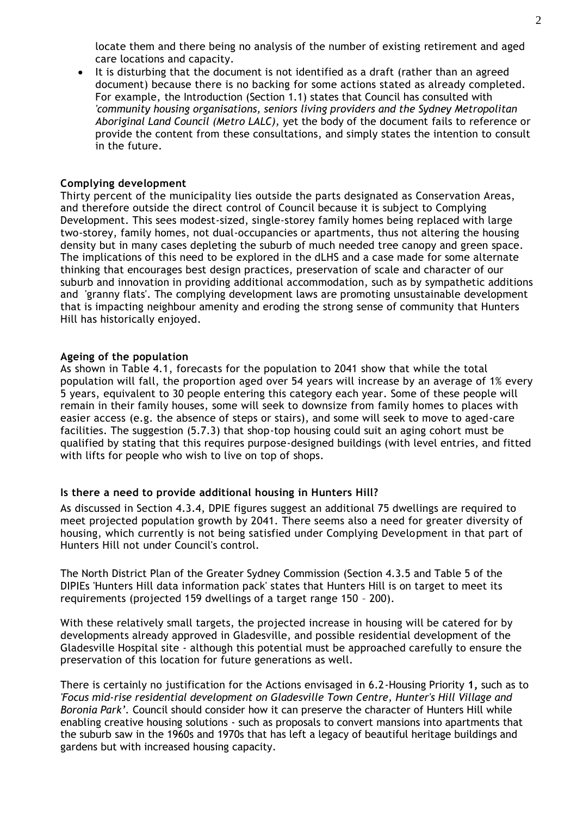locate them and there being no analysis of the number of existing retirement and aged care locations and capacity.

 It is disturbing that the document is not identified as a draft (rather than an agreed document) because there is no backing for some actions stated as already completed. For example, the Introduction (Section 1.1) states that Council has consulted with *'community housing organisations, seniors living providers and the Sydney Metropolitan Aboriginal Land Council (Metro LALC),* yet the body of the document fails to reference or provide the content from these consultations, and simply states the intention to consult in the future.

#### **Complying development**

Thirty percent of the municipality lies outside the parts designated as Conservation Areas, and therefore outside the direct control of Council because it is subject to Complying Development. This sees modest-sized, single-storey family homes being replaced with large two-storey, family homes, not dual-occupancies or apartments, thus not altering the housing density but in many cases depleting the suburb of much needed tree canopy and green space. The implications of this need to be explored in the dLHS and a case made for some alternate thinking that encourages best design practices, preservation of scale and character of our suburb and innovation in providing additional accommodation, such as by sympathetic additions and 'granny flats'. The complying development laws are promoting unsustainable development that is impacting neighbour amenity and eroding the strong sense of community that Hunters Hill has historically enjoyed.

#### **Ageing of the population**

As shown in Table 4.1, forecasts for the population to 2041 show that while the total population will fall, the proportion aged over 54 years will increase by an average of 1% every 5 years, equivalent to 30 people entering this category each year. Some of these people will remain in their family houses, some will seek to downsize from family homes to places with easier access (e.g. the absence of steps or stairs), and some will seek to move to aged-care facilities. The suggestion (5.7.3) that shop-top housing could suit an aging cohort must be qualified by stating that this requires purpose-designed buildings (with level entries, and fitted with lifts for people who wish to live on top of shops.

### **Is there a need to provide additional housing in Hunters Hill?**

As discussed in Section 4.3.4, DPIE figures suggest an additional 75 dwellings are required to meet projected population growth by 2041. There seems also a need for greater diversity of housing, which currently is not being satisfied under Complying Development in that part of Hunters Hill not under Council's control.

The North District Plan of the Greater Sydney Commission (Section 4.3.5 and Table 5 of the DIPIEs 'Hunters Hill data information pack' states that Hunters Hill is on target to meet its requirements (projected 159 dwellings of a target range 150 – 200).

With these relatively small targets, the projected increase in housing will be catered for by developments already approved in Gladesville, and possible residential development of the Gladesville Hospital site - although this potential must be approached carefully to ensure the preservation of this location for future generations as well.

There is certainly no justification for the Actions envisaged in 6.2-Housing Priority **1,** such as to *'Focus mid-rise residential development on Gladesville Town Centre, Hunter's Hill Village and Boronia Park'.* Council should consider how it can preserve the character of Hunters Hill while enabling creative housing solutions - such as proposals to convert mansions into apartments that the suburb saw in the 1960s and 1970s that has left a legacy of beautiful heritage buildings and gardens but with increased housing capacity.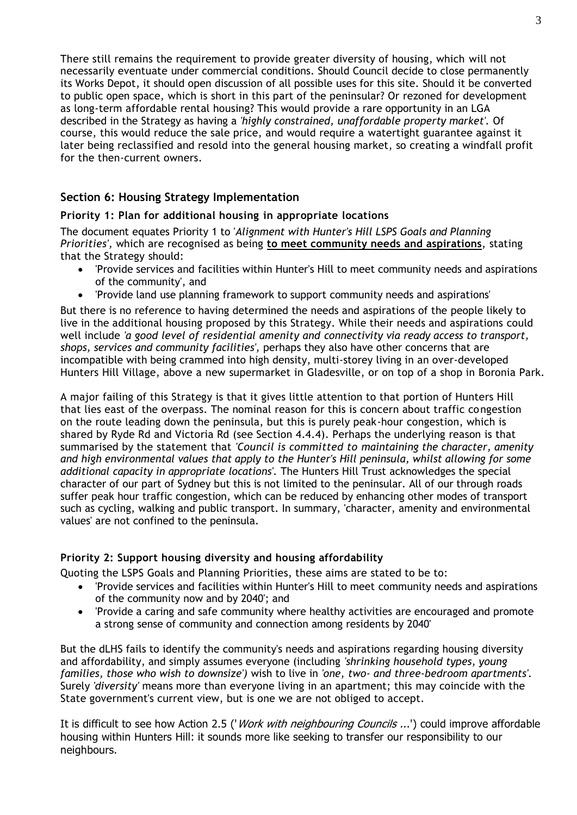There still remains the requirement to provide greater diversity of housing, which will not necessarily eventuate under commercial conditions. Should Council decide to close permanently its Works Depot, it should open discussion of all possible uses for this site. Should it be converted to public open space, which is short in this part of the peninsular? Or rezoned for development as long-term affordable rental housing? This would provide a rare opportunity in an LGA described in the Strategy as having a *'highly constrained, unaffordable property market'.* Of course, this would reduce the sale price, and would require a watertight guarantee against it later being reclassified and resold into the general housing market, so creating a windfall profit for the then-current owners.

# **Section 6: Housing Strategy Implementation**

## **Priority 1: Plan for additional housing in appropriate locations**

The document equates Priority 1 to '*Alignment with Hunter's Hill LSPS Goals and Planning Priorities',* which are recognised as being **to meet community needs and aspirations**, stating that the Strategy should:

- 'Provide services and facilities within Hunter's Hill to meet community needs and aspirations of the community', and
- 'Provide land use planning framework to support community needs and aspirations'

But there is no reference to having determined the needs and aspirations of the people likely to live in the additional housing proposed by this Strategy. While their needs and aspirations could well include *'a good level of residential amenity and connectivity via ready access to transport, shops, services and community facilities',* perhaps they also have other concerns that are incompatible with being crammed into high density, multi-storey living in an over-developed Hunters Hill Village, above a new supermarket in Gladesville, or on top of a shop in Boronia Park.

A major failing of this Strategy is that it gives little attention to that portion of Hunters Hill that lies east of the overpass. The nominal reason for this is concern about traffic congestion on the route leading down the peninsula, but this is purely peak-hour congestion, which is shared by Ryde Rd and Victoria Rd (see Section 4.4.4). Perhaps the underlying reason is that summarised by the statement that *'Council is committed to maintaining the character, amenity and high environmental values that apply to the Hunter's Hill peninsula, whilst allowing for some additional capacity in appropriate locations'.* The Hunters Hill Trust acknowledges the special character of our part of Sydney but this is not limited to the peninsular. All of our through roads suffer peak hour traffic congestion, which can be reduced by enhancing other modes of transport such as cycling, walking and public transport. In summary, 'character, amenity and environmental values' are not confined to the peninsula.

### **Priority 2: Support housing diversity and housing affordability**

Quoting the LSPS Goals and Planning Priorities, these aims are stated to be to:

- 'Provide services and facilities within Hunter's Hill to meet community needs and aspirations of the community now and by 2040'; and
- 'Provide a caring and safe community where healthy activities are encouraged and promote a strong sense of community and connection among residents by 2040'

But the dLHS fails to identify the community's needs and aspirations regarding housing diversity and affordability, and simply assumes everyone (including *'shrinking household types, young families, those who wish to downsize')* wish to live in *'one, two- and three-bedroom apartments'.*  Surely *'diversity'* means more than everyone living in an apartment; this may coincide with the State government's current view, but is one we are not obliged to accept.

It is difficult to see how Action 2.5 ('*Work with neighbouring Councils ...*') could improve affordable housing within Hunters Hill: it sounds more like seeking to transfer our responsibility to our neighbours.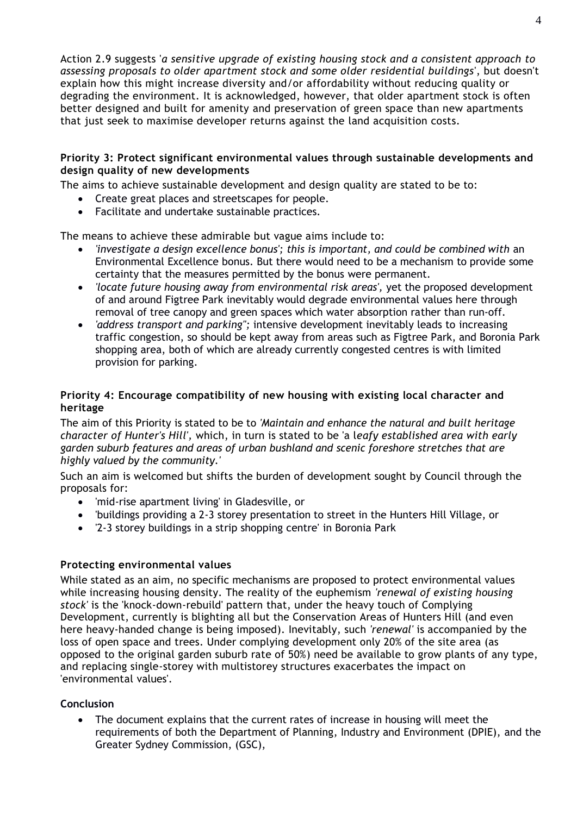Action 2.9 suggests '*a sensitive upgrade of existing housing stock and a consistent approach to assessing proposals to older apartment stock and some older residential buildings*', but doesn't explain how this might increase diversity and/or affordability without reducing quality or degrading the environment. It is acknowledged, however, that older apartment stock is often better designed and built for amenity and preservation of green space than new apartments that just seek to maximise developer returns against the land acquisition costs.

### **Priority 3: Protect significant environmental values through sustainable developments and design quality of new developments**

The aims to achieve sustainable development and design quality are stated to be to:

- Create great places and streetscapes for people.
- Facilitate and undertake sustainable practices.

The means to achieve these admirable but vague aims include to:

- *'investigate a design excellence bonus'; this is important, and could be combined with* an Environmental Excellence bonus. But there would need to be a mechanism to provide some certainty that the measures permitted by the bonus were permanent.
- *'locate future housing away from environmental risk areas', yet the proposed development* of and around Figtree Park inevitably would degrade environmental values here through removal of tree canopy and green spaces which water absorption rather than run-off.
- *'address transport and parking'';* intensive development inevitably leads to increasing traffic congestion, so should be kept away from areas such as Figtree Park, and Boronia Park shopping area, both of which are already currently congested centres is with limited provision for parking.

### **Priority 4: Encourage compatibility of new housing with existing local character and heritage**

The aim of this Priority is stated to be to *'Maintain and enhance the natural and built heritage character of Hunter's Hill',* which, in turn is stated to be 'a l*eafy established area with early garden suburb features and areas of urban bushland and scenic foreshore stretches that are highly valued by the community.'*

Such an aim is welcomed but shifts the burden of development sought by Council through the proposals for:

- 'mid-rise apartment living' in Gladesville, or
- 'buildings providing a 2-3 storey presentation to street in the Hunters Hill Village, or
- '2-3 storey buildings in a strip shopping centre' in Boronia Park

### **Protecting environmental values**

While stated as an aim, no specific mechanisms are proposed to protect environmental values while increasing housing density. The reality of the euphemism *'renewal of existing housing stock'* is the 'knock-down-rebuild' pattern that, under the heavy touch of Complying Development, currently is blighting all but the Conservation Areas of Hunters Hill (and even here heavy-handed change is being imposed). Inevitably, such *'renewal'* is accompanied by the loss of open space and trees. Under complying development only 20% of the site area (as opposed to the original garden suburb rate of 50%) need be available to grow plants of any type, and replacing single-storey with multistorey structures exacerbates the impact on 'environmental values'.

### **Conclusion**

 The document explains that the current rates of increase in housing will meet the requirements of both the Department of Planning, Industry and Environment (DPIE), and the Greater Sydney Commission, (GSC),